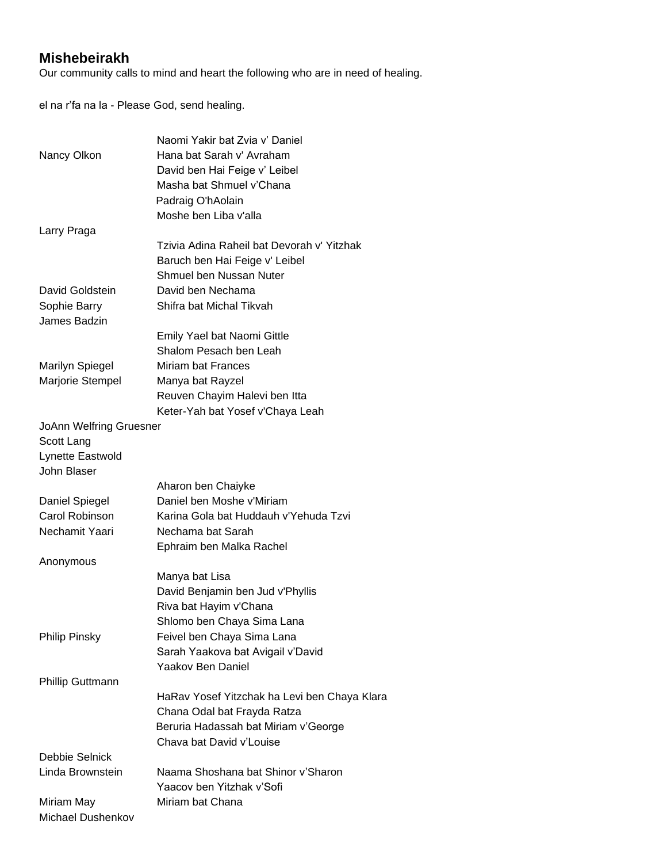## **Mishebeirakh**

Our community calls to mind and heart the following who are in need of healing.

el na r'fa na la - Please God, send healing.

|                                | Naomi Yakir bat Zvia y' Daniel               |
|--------------------------------|----------------------------------------------|
| Nancy Olkon                    | Hana bat Sarah v' Avraham                    |
|                                | David ben Hai Feige v' Leibel                |
|                                | Masha bat Shmuel v'Chana                     |
|                                | Padraig O'hAolain                            |
|                                | Moshe ben Liba v'alla                        |
| Larry Praga                    |                                              |
|                                | Tzivia Adina Raheil bat Devorah v' Yitzhak   |
|                                | Baruch ben Hai Feige v' Leibel               |
|                                | Shmuel ben Nussan Nuter                      |
| David Goldstein                | David ben Nechama                            |
| Sophie Barry                   | Shifra bat Michal Tikvah                     |
| James Badzin                   |                                              |
|                                | Emily Yael bat Naomi Gittle                  |
|                                | Shalom Pesach ben Leah                       |
| <b>Marilyn Spiegel</b>         | <b>Miriam bat Frances</b>                    |
| Marjorie Stempel               | Manya bat Rayzel                             |
|                                | Reuven Chayim Halevi ben Itta                |
|                                | Keter-Yah bat Yosef v'Chaya Leah             |
| <b>JoAnn Welfring Gruesner</b> |                                              |
| Scott Lang                     |                                              |
| Lynette Eastwold               |                                              |
| John Blaser                    |                                              |
|                                | Aharon ben Chaiyke                           |
| Daniel Spiegel                 | Daniel ben Moshe v'Miriam                    |
| Carol Robinson                 | Karina Gola bat Huddauh v'Yehuda Tzvi        |
| Nechamit Yaari                 | Nechama bat Sarah                            |
|                                |                                              |
|                                | Ephraim ben Malka Rachel                     |
| Anonymous                      |                                              |
|                                | Manya bat Lisa                               |
|                                | David Benjamin ben Jud v'Phyllis             |
|                                | Riva bat Hayim v'Chana                       |
|                                | Shlomo ben Chaya Sima Lana                   |
| <b>Philip Pinsky</b>           | Feivel ben Chaya Sima Lana                   |
|                                | Sarah Yaakova bat Avigail v'David            |
|                                | <b>Yaakov Ben Daniel</b>                     |
| <b>Phillip Guttmann</b>        |                                              |
|                                | HaRav Yosef Yitzchak ha Levi ben Chaya Klara |
|                                | Chana Odal bat Frayda Ratza                  |
|                                | Beruria Hadassah bat Miriam v'George         |
|                                | Chava bat David v'Louise                     |
| Debbie Selnick                 |                                              |
| Linda Brownstein               | Naama Shoshana bat Shinor v'Sharon           |
|                                | Yaacov ben Yitzhak v'Sofi                    |
| Miriam May                     | Miriam bat Chana                             |
| Michael Dushenkov              |                                              |